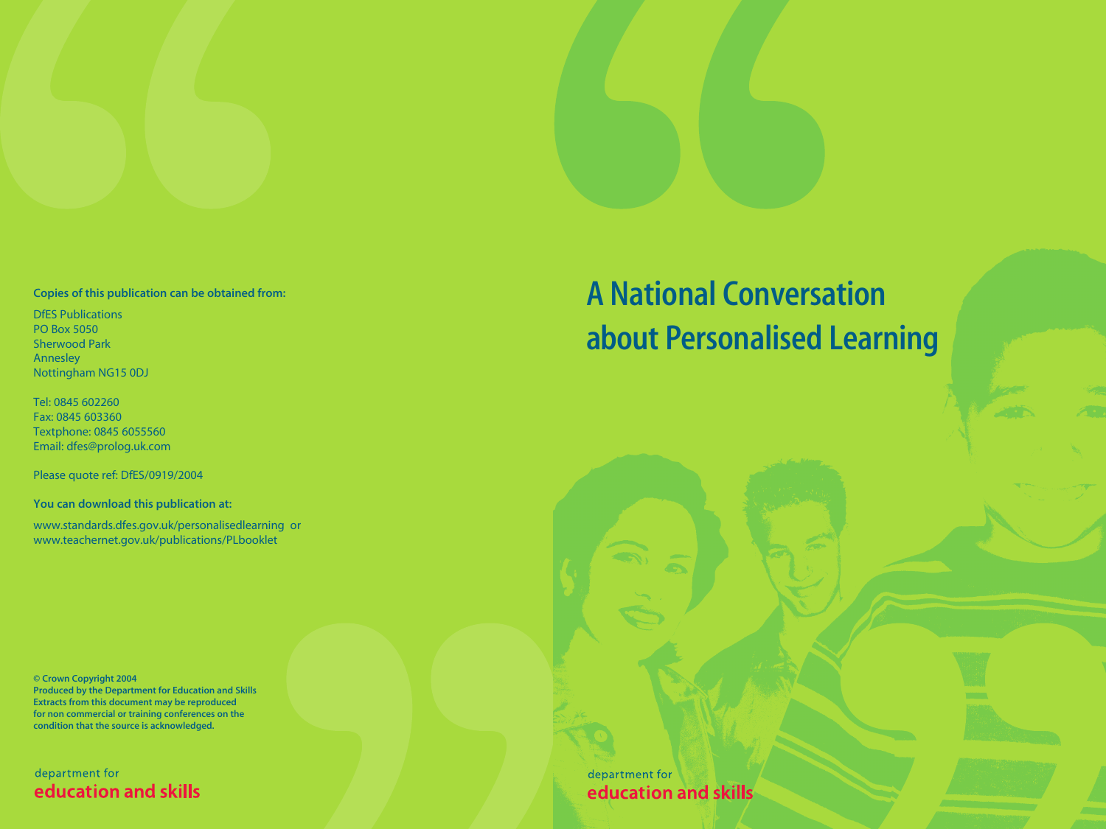

DfES Publications PO Box 5050 Sherwood Park Annesley Nottingham NG15 0DJ

Tel: 0845 602260 Fax: 0845 603360 Textphone: 0845 6055560 Email: dfes@prolog.uk.com

Please quote ref: DfES/0919/2004

**You can download this publication at:** 

www.standards.dfes.gov.uk/personalisedlearning or www.teachernet.gov.uk/publications/PLbooklet

**© Crown Copyright 2004 Produced by the Department for Education and Skills Extracts from this document may be reproduced for non commercial or training conferences on the condition that the source is acknowledged.** 

#### department for education and skills

**A National Conversation about Personalised Learning**

department for education and skills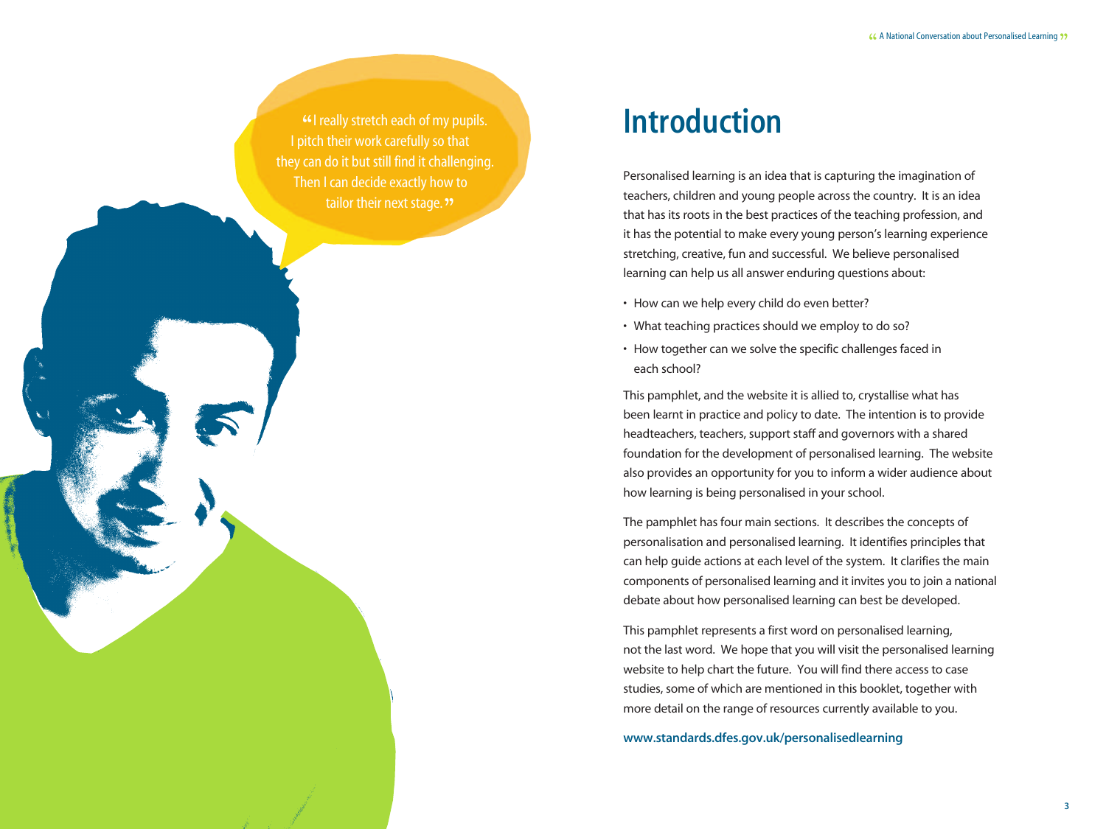"I really stretch each of my pupils. I pitch their work carefully so that they can do it but still find it challenging. Then I can decide exactly how to tailor their next stage."

### **Introduction**

Personalised learning is an idea that is capturing the imagination of teachers, children and young people across the country. It is an idea that has its roots in the best practices of the teaching profession, and it has the potential to make every young person's learning experience stretching, creative, fun and successful. We believe personalised learning can help us all answer enduring questions about:

- How can we help every child do even better?
- What teaching practices should we employ to do so?
- How together can we solve the specific challenges faced in each school?

This pamphlet, and the website it is allied to, crystallise what has been learnt in practice and policy to date. The intention is to provide headteachers, teachers, support staff and governors with a shared foundation for the development of personalised learning. The website also provides an opportunity for you to inform a wider audience about how learning is being personalised in your school.

The pamphlet has four main sections. It describes the concepts of personalisation and personalised learning. It identifies principles that can help guide actions at each level of the system. It clarifies the main components of personalised learning and it invites you to join a national debate about how personalised learning can best be developed.

This pamphlet represents a first word on personalised learning, not the last word. We hope that you will visit the personalised learning website to help chart the future. You will find there access to case studies, some of which are mentioned in this booklet, together with more detail on the range of resources currently available to you.

**www.standards.dfes.gov.uk/personalisedlearning**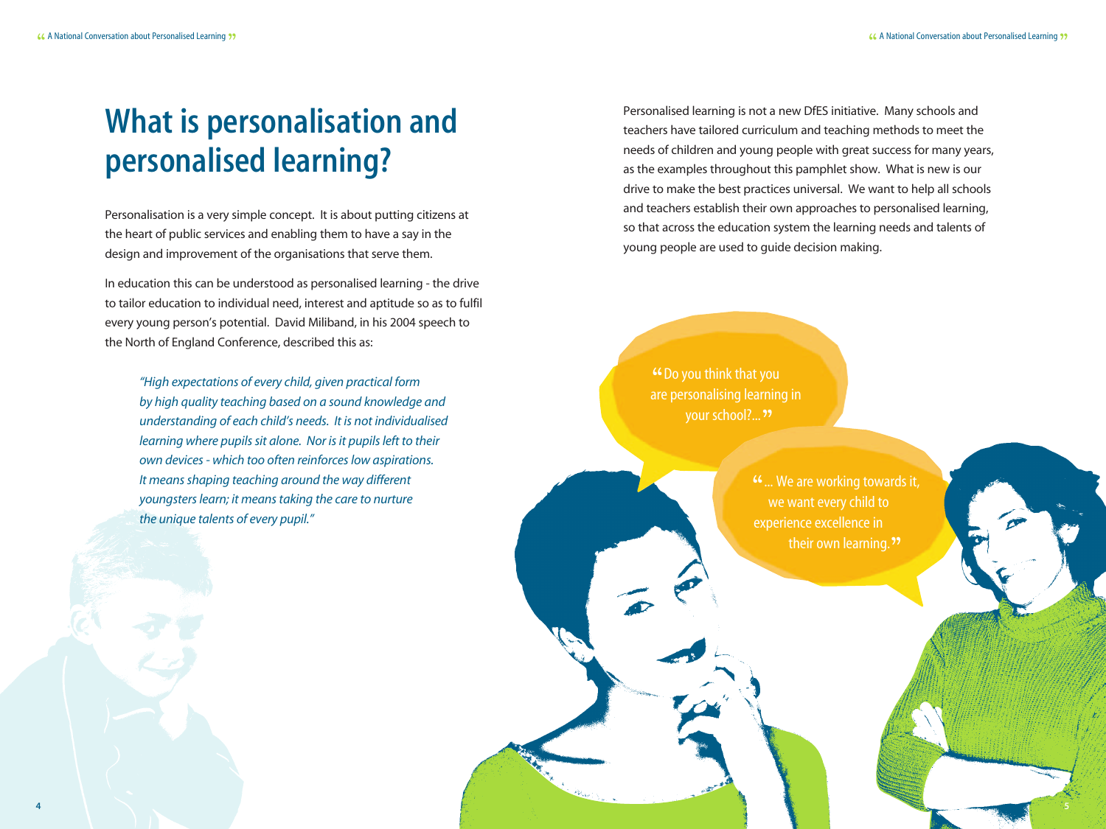## **What is personalisation and personalised learning?**

Personalisation is a very simple concept. It is about putting citizens at the heart of public services and enabling them to have a say in the design and improvement of the organisations that serve them.

In education this can be understood as personalised learning - the drive to tailor education to individual need, interest and aptitude so as to fulfil every young person's potential. David Miliband, in his 2004 speech to the North of England Conference, described this as:

*"High expectations of every child, given practical form by high quality teaching based on a sound knowledge and understanding of each child's needs. It is not individualised learning where pupils sit alone. Nor is it pupils left to their own devices - which too often reinforces low aspirations. It means shaping teaching around the way different youngsters learn; it means taking the care to nurture the unique talents of every pupil."*

Personalised learning is not a new DfES initiative. Many schools and teachers have tailored curriculum and teaching methods to meet the needs of children and young people with great success for many years, as the examples throughout this pamphlet show. What is new is our drive to make the best practices universal. We want to help all schools and teachers establish their own approaches to personalised learning, so that across the education system the learning needs and talents of young people are used to guide decision making.

"Do you think that you are personalising learning in your school?...?

> "... We are working towards it, we want every child to experience excellence in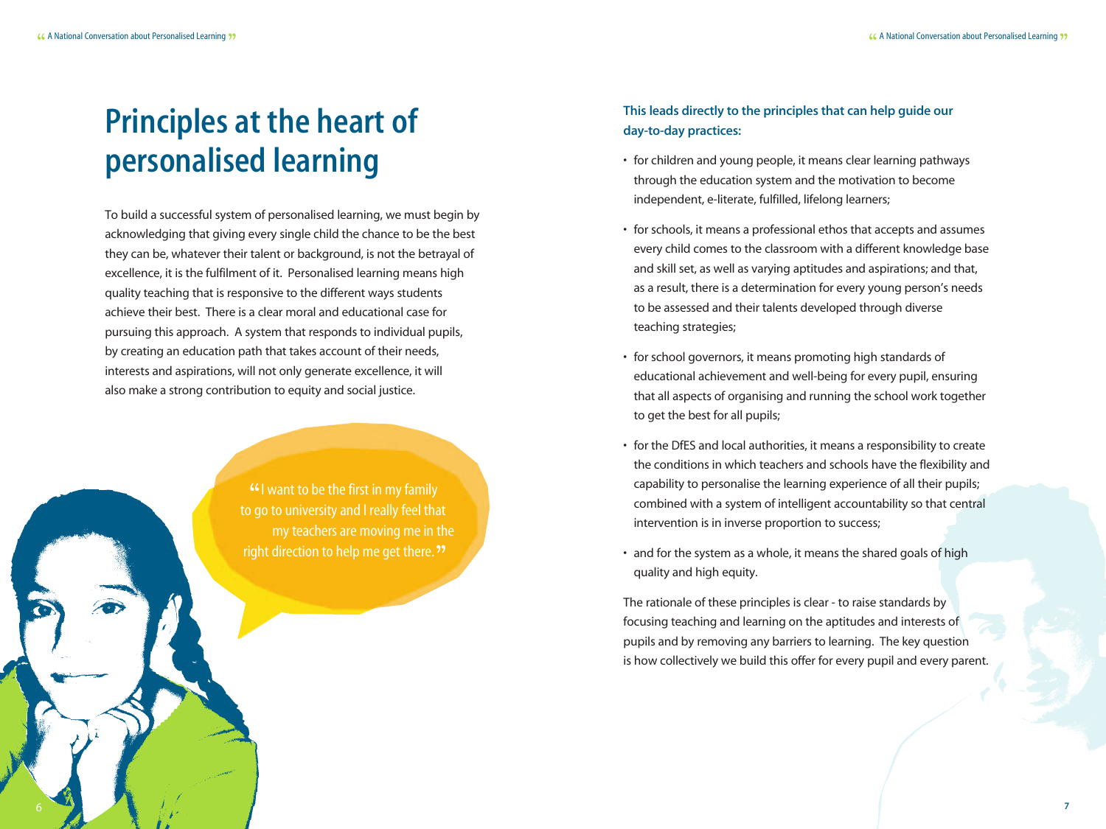# **Principles at the heart of personalised learning**

To build a successful system of personalised learning, we must begin by acknowledging that giving every single child the chance to be the best they can be, whatever their talent or background, is not the betrayal of excellence, it is the fulfilment of it. Personalised learning means high quality teaching that is responsive to the different ways students achieve their best. There is a clear moral and educational case for pursuing this approach. A system that responds to individual pupils, by creating an education path that takes account of their needs, interests and aspirations, will not only generate excellence, it will also make a strong contribution to equity and social justice.



#### **This leads directly to the principles that can help guide our day-to-day practices:**

- for children and young people, it means clear learning pathways through the education system and the motivation to become independent, e-literate, fulfilled, lifelong learners;
- for schools, it means a professional ethos that accepts and assumes every child comes to the classroom with a different knowledge base and skill set, as well as varying aptitudes and aspirations; and that, as a result, there is a determination for every young person's needs to be assessed and their talents developed through diverse teaching strategies;
- for school governors, it means promoting high standards of educational achievement and well-being for every pupil, ensuring that all aspects of organising and running the school work together to get the best for all pupils;
- for the DfES and local authorities, it means a responsibility to create the conditions in which teachers and schools have the flexibility and capability to personalise the learning experience of all their pupils; combined with a system of intelligent accountability so that central intervention is in inverse proportion to success;
- and for the system as a whole, it means the shared goals of high quality and high equity.

The rationale of these principles is clear - to raise standards by focusing teaching and learning on the aptitudes and interests of pupils and by removing any barriers to learning. The key question is how collectively we build this offer for every pupil and every parent.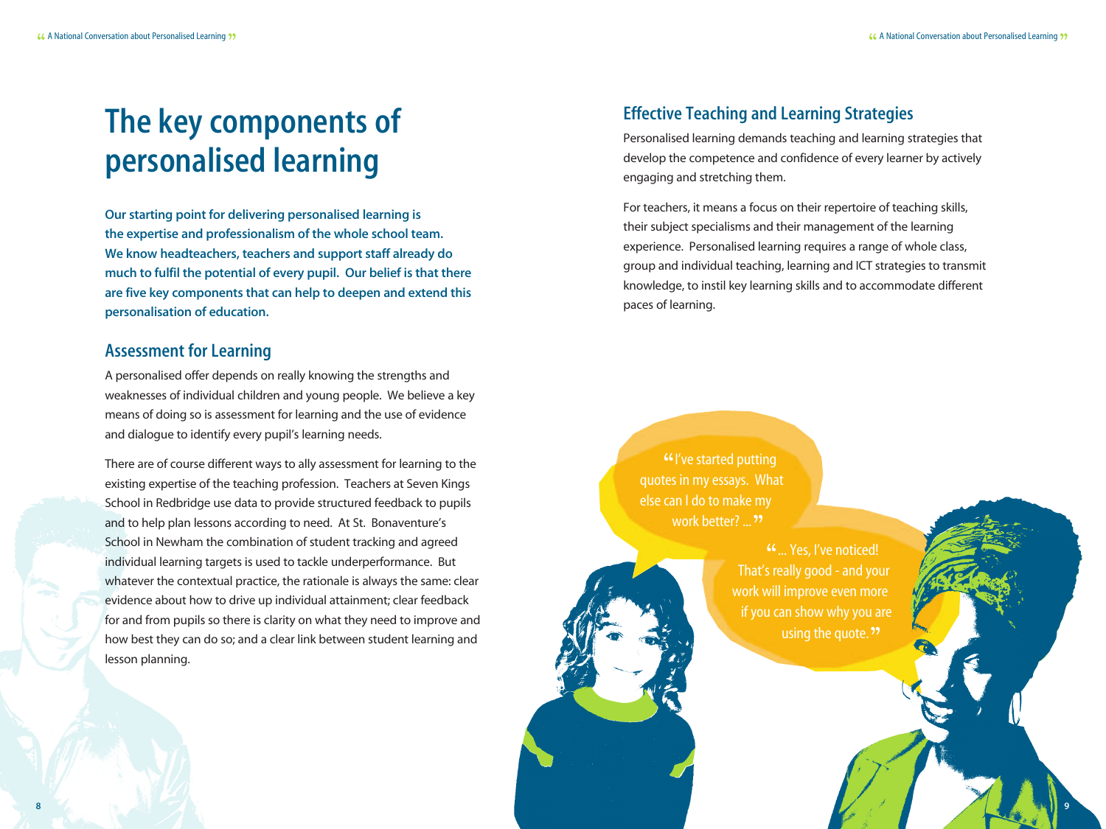# **The key components of personalised learning**

**Our starting point for delivering personalised learning is the expertise and professionalism of the whole school team. We know headteachers, teachers and support staff already do much to fulfil the potential of every pupil. Our belief is that there are five key components that can help to deepen and extend this personalisation of education.**

#### **Assessment for Learning**

**8**

A personalised offer depends on really knowing the strengths and weaknesses of individual children and young people. We believe a key means of doing so is assessment for learning and the use of evidence and dialogue to identify every pupil's learning needs.

There are of course different ways to ally assessment for learning to the existing expertise of the teaching profession. Teachers at Seven Kings School in Redbridge use data to provide structured feedback to pupils and to help plan lessons according to need. At St. Bonaventure's School in Newham the combination of student tracking and agreed individual learning targets is used to tackle underperformance. But whatever the contextual practice, the rationale is always the same: clear evidence about how to drive up individual attainment; clear feedback for and from pupils so there is clarity on what they need to improve and how best they can do so; and a clear link between student learning and lesson planning.

#### **Effective Teaching and Learning Strategies**

Personalised learning demands teaching and learning strategies that develop the competence and confidence of every learner by actively engaging and stretching them.

For teachers, it means a focus on their repertoire of teaching skills, their subject specialisms and their management of the learning experience. Personalised learning requires a range of whole class, group and individual teaching, learning and ICT strategies to transmit knowledge, to instil key learning skills and to accommodate different paces of learning.

"I've started putting quotes in my essays. What else can I do to make my work better? ... ??

> "... Yes, I've noticed! That's really good - and your work will improve even more if you can show why you are using the quote."

**9**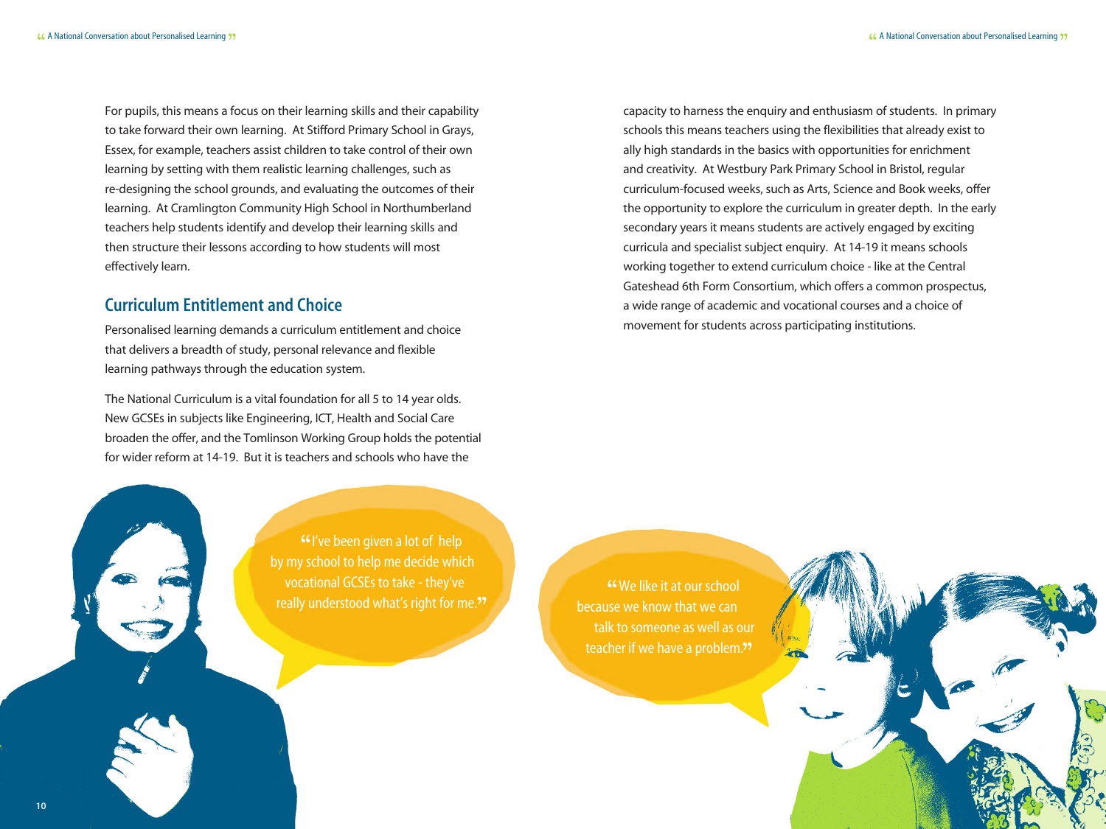**11**

For pupils, this means a focus on their learning skills and their capability to take forward their own learning. At Stifford Primary School in Grays, Essex, for example, teachers assist children to take control of their own learning by setting with them realistic learning challenges, such as re-designing the school grounds, and evaluating the outcomes of their learning. At Cramlington Community High School in Northumberland teachers help students identify and develop their learning skills and then structure their lessons according to how students will most effectively learn.

#### **Curriculum Entitlement and Choice**

Personalised learning demands a curriculum entitlement and choice that delivers a breadth of study, personal relevance and flexible learning pathways through the education system.

The National Curriculum is a vital foundation for all 5 to 14 year olds. New GCSEs in subjects like Engineering, ICT, Health and Social Care broaden the offer, and the Tomlinson Working Group holds the potential for wider reform at 14-19. But it is teachers and schools who have the



"I've been given a lot of help by my school to help me decide which vocational GCSEs to take - they've really understood what's right for me."

"We like it at our school because we know that we can talk to someone as well as our teacher if we have a problem."

capacity to harness the enquiry and enthusiasm of students. In primary schools this means teachers using the flexibilities that already exist to ally high standards in the basics with opportunities for enrichment and creativity. At Westbury Park Primary School in Bristol, regular curriculum-focused weeks, such as Arts, Science and Book weeks, offer the opportunity to explore the curriculum in greater depth. In the early secondary years it means students are actively engaged by exciting curricula and specialist subject enquiry. At 14-19 it means schools working together to extend curriculum choice - like at the Central Gateshead 6th Form Consortium, which offers a common prospectus, a wide range of academic and vocational courses and a choice of movement for students across participating institutions.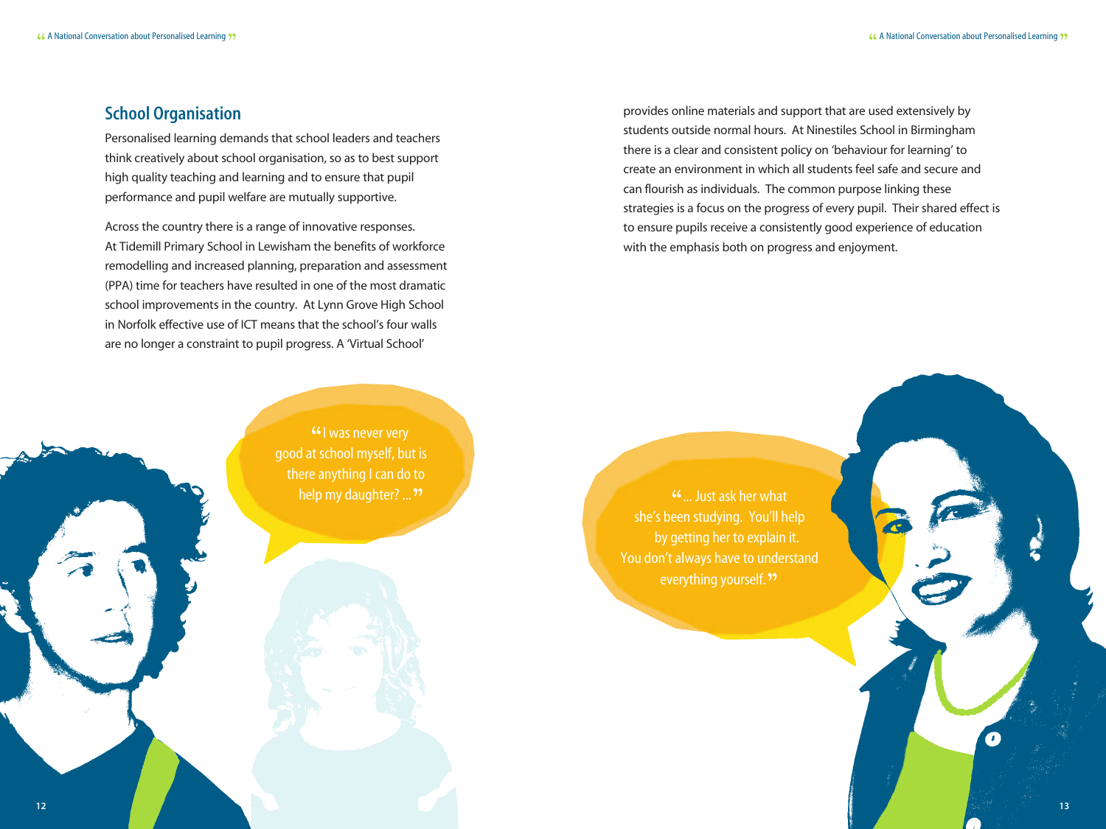#### **School Organisation**

Personalised learning demands that school leaders and teachers think creatively about school organisation, so as to best support high quality teaching and learning and to ensure that pupil performance and pupil welfare are mutually supportive.

Across the country there is a range of innovative responses. At Tidemill Primary School in Lewisham the benefits of workforce remodelling and increased planning, preparation and assessment (PPA) time for teachers have resulted in one of the most dramatic school improvements in the country. At Lynn Grove High School in Norfolk effective use of ICT means that the school's four walls are no longer a constraint to pupil progress. A 'Virtual School'

> good at school myself, but is there anything I can do to help my daughter? ... "

provides online materials and support that are used extensively by students outside normal hours. At Ninestiles School in Birmingham there is a clear and consistent policy on 'behaviour for learning' to create an environment in which all students feel safe and secure and can flourish as individuals. The common purpose linking these strategies is a focus on the progress of every pupil. Their shared effect is to ensure pupils receive a consistently good experience of education with the emphasis both on progress and enjoyment.

"... Just ask her what she's been studying. You'll help by getting her to explain it. You don't always have to understand everything yourself. "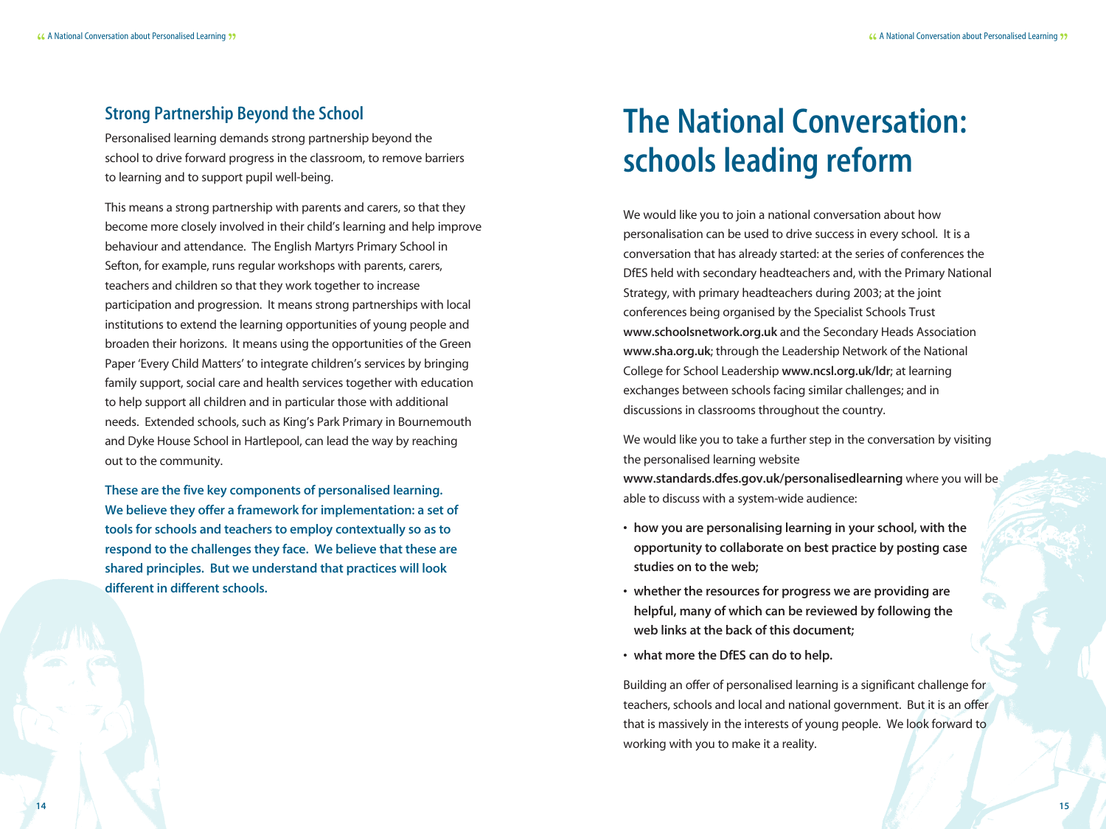**14**

#### **Strong Partnership Beyond the School**

Personalised learning demands strong partnership beyond the school to drive forward progress in the classroom, to remove barriers to learning and to support pupil well-being.

This means a strong partnership with parents and carers, so that they become more closely involved in their child's learning and help improve behaviour and attendance. The English Martyrs Primary School in Sefton, for example, runs regular workshops with parents, carers, teachers and children so that they work together to increase participation and progression. It means strong partnerships with local institutions to extend the learning opportunities of young people and broaden their horizons. It means using the opportunities of the Green Paper 'Every Child Matters' to integrate children's services by bringing family support, social care and health services together with education to help support all children and in particular those with additional needs. Extended schools, such as King's Park Primary in Bournemouth and Dyke House School in Hartlepool, can lead the way by reaching out to the community.

**These are the five key components of personalised learning. We believe they offer a framework for implementation: a set of tools for schools and teachers to employ contextually so as to respond to the challenges they face. We believe that these are shared principles. But we understand that practices will look different in different schools.**

## **The National Conversation: schools leading reform**

We would like you to join a national conversation about how personalisation can be used to drive success in every school. It is a conversation that has already started: at the series of conferences the DfES held with secondary headteachers and, with the Primary National Strategy, with primary headteachers during 2003; at the joint conferences being organised by the Specialist Schools Trust **www.schoolsnetwork.org.uk** and the Secondary Heads Association **www.sha.org.uk**; through the Leadership Network of the National College for School Leadership **www.ncsl.org.uk/ldr**; at learning exchanges between schools facing similar challenges; and in discussions in classrooms throughout the country.

We would like you to take a further step in the conversation by visiting the personalised learning website **www.standards.dfes.gov.uk/personalisedlearning** where you will be able to discuss with a system-wide audience:

- **• how you are personalising learning in your school, with the opportunity to collaborate on best practice by posting case studies on to the web;**
- **• whether the resources for progress we are providing are helpful, many of which can be reviewed by following the web links at the back of this document;**
- **• what more the DfES can do to help.**

Building an offer of personalised learning is a significant challenge for teachers, schools and local and national government. But it is an offer that is massively in the interests of young people. We look forward to working with you to make it a reality.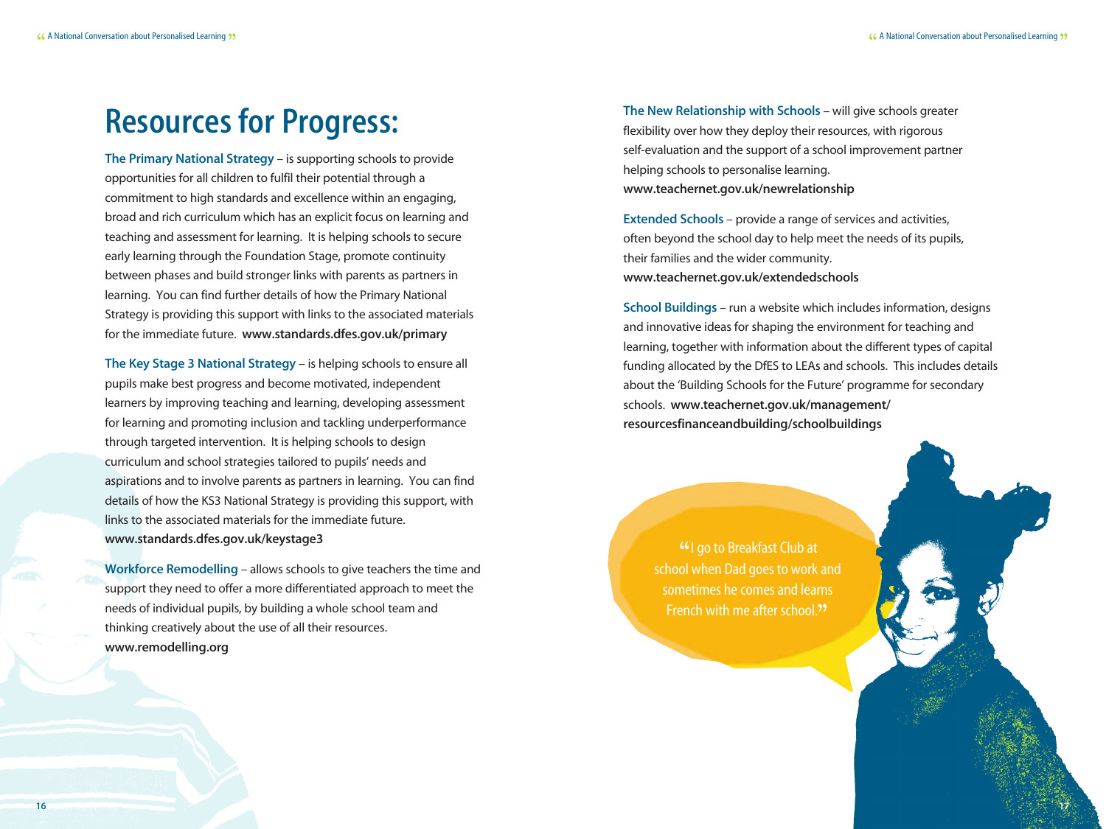### **Resources for Progress:**

**The Primary National Strategy** – is supporting schools to provide opportunities for all children to fulfil their potential through a commitment to high standards and excellence within an engaging, broad and rich curriculum which has an explicit focus on learning and teaching and assessment for learning. It is helping schools to secure early learning through the Foundation Stage, promote continuity between phases and build stronger links with parents as partners in learning. You can find further details of how the Primary National Strategy is providing this support with links to the associated materials for the immediate future. **www.standards.dfes.gov.uk/primary**

**The Key Stage 3 National Strategy** – is helping schools to ensure all pupils make best progress and become motivated, independent learners by improving teaching and learning, developing assessment for learning and promoting inclusion and tackling underperformance through targeted intervention. It is helping schools to design curriculum and school strategies tailored to pupils' needs and aspirations and to involve parents as partners in learning. You can find details of how the KS3 National Strategy is providing this support, with links to the associated materials for the immediate future. **www.standards.dfes.gov.uk/keystage3**

**Workforce Remodelling** – allows schools to give teachers the time and support they need to offer a more differentiated approach to meet the needs of individual pupils, by building a whole school team and thinking creatively about the use of all their resources. **www.remodelling.org**

**The New Relationship with Schools** – will give schools greater flexibility over how they deploy their resources, with rigorous self-evaluation and the support of a school improvement partner helping schools to personalise learning. **www.teachernet.gov.uk/newrelationship**

**Extended Schools** – provide a range of services and activities, often beyond the school day to help meet the needs of its pupils, their families and the wider community. **www.teachernet.gov.uk/extendedschools**

**School Buildings** – run a website which includes information, designs and innovative ideas for shaping the environment for teaching and learning, together with information about the different types of capital funding allocated by the DfES to LEAs and schools. This includes details about the 'Building Schools for the Future' programme for secondary schools. **www.teachernet.gov.uk/management/ resourcesfinanceandbuilding/schoolbuildings**

"I go to Breakfast Club at school when Dad goes to work and sometimes he comes and learns French with me after school.<sup>??</sup>